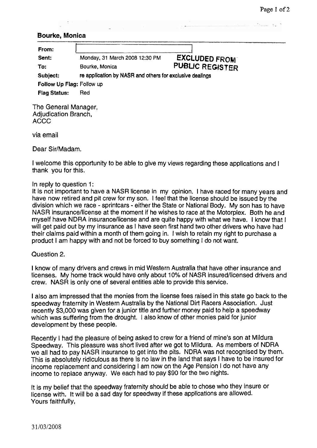## **Bourke, Monica**

| From:                     |                                                          |                        |  |
|---------------------------|----------------------------------------------------------|------------------------|--|
| Sent:                     | Monday, 31 March 2008 12:30 PM                           | <b>EXCLUDED FROM</b>   |  |
| To:                       | Bourke, Monica                                           | <b>PUBLIC REGISTER</b> |  |
| Subject:                  | re application by NASR and others for exclusive dealings |                        |  |
| Follow Up Flag: Follow up |                                                          |                        |  |
| <b>Flag Status:</b>       | Red                                                      |                        |  |

The General Manager, Adjudication Branch, ACCC

via email

Dear Sir/Madam.

I welcome this opportunity to be able to give my views regarding these applications and I thank you for this.

## In reply to question 1:

It is not important to have a NASR license in my opinion. I have raced for many years and have now retired and pit crew for my son. I feel that the license should be issued by the division which we race - sprintcars - either the State or National Body. My son has to have NASR insurancellicense at the moment if he wishes to race at the Motorplex. Both he and myself have NDRA insurancellicense and are quite happy with what we have. I know that I will get paid out by my insurance as I have seen first hand two other drivers who have had their claims paid within a month of them going in. I wish to retain my right to purchase a product I am happy with and not be forced to buy something I do not want.

Question 2.

I know of many drivers and crews in mid Western Australia that have other insurance and licenses. My home track would have only about 10% of NASR insured/licensed drivers and crew. NASR is only one of several entities able to provide this service.

I also am impressed that the monies from the license fees raised in this state go back to the speedway fraternity in Western Australia by the National Dirt Racers Association. Just recently \$3,000 was given for a junior title and further money paid to help a speedway which was suffering from the drought. I also know of other monies paid for junior development by these people.

Recently I had the pleasure of being asked to crew for a friend of mine's son at Mildura Speedway. This pleasure was short lived after we got to Mildura. As members of NDRA we all had to pay NASR insurance to get into the pits. NDRA was not recognised by them. This is absolutely ridiculous as there is no law in the land that says I have to be insured for income replacement and considering I am now on the Age Pension I do not have any income to replace anyway. We each had to pay \$90 for the two nights.

It is my belief that the speedway fraternity should be able to chose who they insure or license with. It will be a sad day for speedway if these applications are allowed. Yours faithfully,